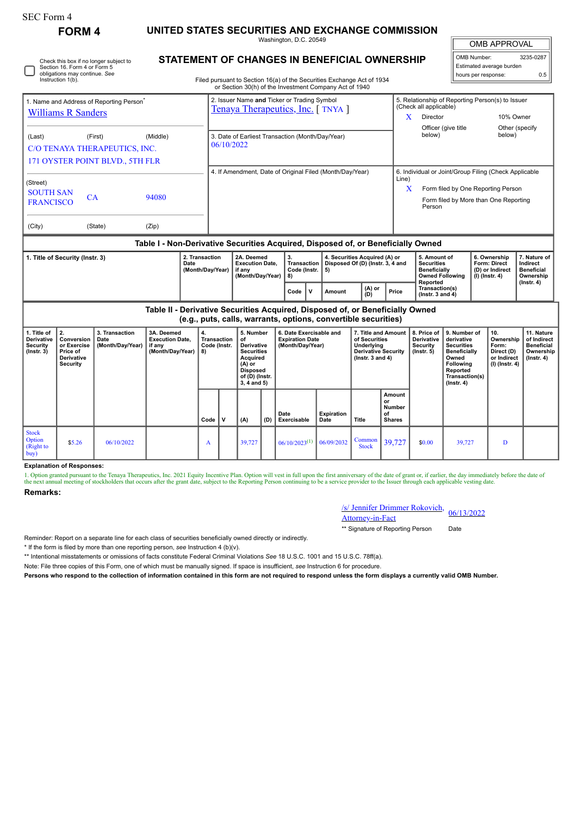| <b>SEC Form 4</b>                                                                                 |                                                                                    |                                            |                                                                                  |                                                      |                                                                            |                                                                                                                                         |     |                                                                                                                                  |                           |                                                                                                            |                                                                                                                                                     |                                                                  |                                                                                                                                                |                                            |                                                                            |                                                                                 |  |
|---------------------------------------------------------------------------------------------------|------------------------------------------------------------------------------------|--------------------------------------------|----------------------------------------------------------------------------------|------------------------------------------------------|----------------------------------------------------------------------------|-----------------------------------------------------------------------------------------------------------------------------------------|-----|----------------------------------------------------------------------------------------------------------------------------------|---------------------------|------------------------------------------------------------------------------------------------------------|-----------------------------------------------------------------------------------------------------------------------------------------------------|------------------------------------------------------------------|------------------------------------------------------------------------------------------------------------------------------------------------|--------------------------------------------|----------------------------------------------------------------------------|---------------------------------------------------------------------------------|--|
| <b>FORM 4</b>                                                                                     |                                                                                    |                                            |                                                                                  |                                                      | UNITED STATES SECURITIES AND EXCHANGE COMMISSION<br>Washington, D.C. 20549 |                                                                                                                                         |     |                                                                                                                                  |                           |                                                                                                            |                                                                                                                                                     |                                                                  |                                                                                                                                                | OMB APPROVAL                               |                                                                            |                                                                                 |  |
|                                                                                                   | Section 16. Form 4 or Form 5<br>obligations may continue. See<br>Instruction 1(b). | Check this box if no longer subject to     | STATEMENT OF CHANGES IN BENEFICIAL OWNERSHIP                                     |                                                      |                                                                            |                                                                                                                                         |     | Filed pursuant to Section 16(a) of the Securities Exchange Act of 1934<br>or Section 30(h) of the Investment Company Act of 1940 |                           |                                                                                                            |                                                                                                                                                     |                                                                  |                                                                                                                                                | OMB Number:                                | Estimated average burden<br>hours per response:                            | 3235-0287<br>0.5                                                                |  |
| 1. Name and Address of Reporting Person<br><b>Williams R Sanders</b>                              |                                                                                    |                                            |                                                                                  |                                                      |                                                                            |                                                                                                                                         |     | 2. Issuer Name and Ticker or Trading Symbol<br>Tenaya Therapeutics, Inc. [TNYA]                                                  |                           |                                                                                                            | 5. Relationship of Reporting Person(s) to Issuer<br>(Check all applicable)<br>Director<br>X<br>Officer (give title                                  |                                                                  |                                                                                                                                                | 10% Owner<br>Other (specify                |                                                                            |                                                                                 |  |
| (Last)<br>(First)<br>(Middle)<br>C/O TENAYA THERAPEUTICS, INC.<br>171 OYSTER POINT BLVD., 5TH FLR |                                                                                    |                                            |                                                                                  |                                                      | 3. Date of Earliest Transaction (Month/Day/Year)<br>06/10/2022             |                                                                                                                                         |     |                                                                                                                                  |                           |                                                                                                            |                                                                                                                                                     | below)<br>below)                                                 |                                                                                                                                                |                                            |                                                                            |                                                                                 |  |
| (Street)<br><b>SOUTH SAN</b><br>CA<br>94080<br><b>FRANCISCO</b>                                   |                                                                                    |                                            |                                                                                  |                                                      |                                                                            |                                                                                                                                         |     | 4. If Amendment, Date of Original Filed (Month/Day/Year)                                                                         |                           | Line)                                                                                                      | 6. Individual or Joint/Group Filing (Check Applicable<br>X<br>Form filed by One Reporting Person<br>Form filed by More than One Reporting<br>Person |                                                                  |                                                                                                                                                |                                            |                                                                            |                                                                                 |  |
| (City)<br>(State)<br>(Zip)                                                                        |                                                                                    |                                            |                                                                                  |                                                      |                                                                            |                                                                                                                                         |     |                                                                                                                                  |                           |                                                                                                            |                                                                                                                                                     |                                                                  |                                                                                                                                                |                                            |                                                                            |                                                                                 |  |
|                                                                                                   |                                                                                    |                                            | Table I - Non-Derivative Securities Acquired, Disposed of, or Beneficially Owned |                                                      |                                                                            | 2A. Deemed                                                                                                                              |     | 3.                                                                                                                               |                           | 4. Securities Acquired (A) or                                                                              |                                                                                                                                                     | 5. Amount of                                                     |                                                                                                                                                |                                            | 6. Ownership                                                               | 7. Nature of                                                                    |  |
| 2. Transaction<br>1. Title of Security (Instr. 3)<br>Date<br>(Month/Day/Year)                     |                                                                                    |                                            |                                                                                  | <b>Execution Date,</b><br>if any<br>(Month/Day/Year) |                                                                            | Transaction<br>Code (Instr.<br>5)<br>8)                                                                                                 |     | Disposed Of (D) (Instr. 3, 4 and                                                                                                 |                           | <b>Securities</b><br><b>Beneficially</b><br><b>Owned Following</b>                                         |                                                                                                                                                     |                                                                  | <b>Form: Direct</b><br>(D) or Indirect<br>(I) (Instr. 4)                                                                                       | Indirect<br><b>Beneficial</b><br>Ownership |                                                                            |                                                                                 |  |
|                                                                                                   |                                                                                    |                                            |                                                                                  |                                                      |                                                                            |                                                                                                                                         |     | $\mathsf{v}$<br>Code                                                                                                             | <b>Amount</b>             | (A) or<br>(D)                                                                                              | Reported<br>Transaction(s)<br>Price<br>(Instr. $3$ and $4$ )                                                                                        |                                                                  |                                                                                                                                                |                                            |                                                                            | $($ Instr. 4 $)$                                                                |  |
|                                                                                                   |                                                                                    |                                            | Table II - Derivative Securities Acquired, Disposed of, or Beneficially Owned    |                                                      |                                                                            |                                                                                                                                         |     | (e.g., puts, calls, warrants, options, convertible securities)                                                                   |                           |                                                                                                            |                                                                                                                                                     |                                                                  |                                                                                                                                                |                                            |                                                                            |                                                                                 |  |
| 1. Title of<br>Derivative<br><b>Security</b><br>$($ Instr. 3 $)$                                  | 2.<br>Conversion<br>or Exercise<br>Price of<br>Derivative<br><b>Security</b>       | 3. Transaction<br>Date<br>(Month/Day/Year) | 3A. Deemed<br><b>Execution Date,</b><br>if any<br>(Month/Day/Year)               | 4.<br><b>Transaction</b><br>Code (Instr.<br>8)       |                                                                            | 5. Number<br>of<br>Derivative<br><b>Securities</b><br><b>Acquired</b><br>(A) or<br><b>Disposed</b><br>of (D) (Instr.<br>$3, 4$ and $5)$ |     | 6. Date Exercisable and<br><b>Expiration Date</b><br>(Month/Day/Year)                                                            |                           | 7. Title and Amount<br>of Securities<br>Underlying<br><b>Derivative Security</b><br>$($ Instr. 3 and 4 $)$ |                                                                                                                                                     | 8. Price of<br>Derivative<br><b>Security</b><br>$($ lnstr. 5 $)$ | 9. Number of<br>derivative<br><b>Securities</b><br><b>Beneficially</b><br>Owned<br>Following<br>Reported<br>Transaction(s)<br>$($ Instr. 4 $)$ |                                            | 10.<br>Ownership<br>Form:<br>Direct (D)<br>or Indirect<br>$(I)$ (Instr. 4) | 11. Nature<br>of Indirect<br><b>Beneficial</b><br>Ownership<br>$($ Instr. 4 $)$ |  |
|                                                                                                   |                                                                                    |                                            |                                                                                  | Code                                                 | $\mathbf v$                                                                | (A)                                                                                                                                     | (D) | Date<br>Exercisable                                                                                                              | <b>Expiration</b><br>Date | Title                                                                                                      | Amount<br>or<br>Number<br>οf<br><b>Shares</b>                                                                                                       |                                                                  |                                                                                                                                                |                                            |                                                                            |                                                                                 |  |
| <b>Stock</b><br>Option<br>(Right to<br>buv)                                                       | \$5.26                                                                             | 06/10/2022                                 |                                                                                  | A                                                    |                                                                            | 39,727                                                                                                                                  |     | $06/10/2023^{(1)}$                                                                                                               | 06/09/2032                | Common<br><b>Stock</b>                                                                                     | 39,727                                                                                                                                              | \$0.00                                                           | 39,727                                                                                                                                         |                                            | D                                                                          |                                                                                 |  |

## **Explanation of Responses:**

1. Option granted pursuant to the Tenaya Therapeutics, Inc. 2021 Equity Incentive Plan. Option will vest in full upon the first anniversary of the date of grant or, if earlier, the day immediately before the date of the next annual meeting of stockholders that occurs after the grant date, subject to the Reporting Person continuing to be a service provider to the Issuer through each applicable vesting date

## **Remarks:**

| /s/ Jennifer Drimmer Rokovich, 06/13/2022 |  |  |  |  |
|-------------------------------------------|--|--|--|--|
| <b>Attorney-in-Fact</b>                   |  |  |  |  |

\*\* Signature of Reporting Person Date

Reminder: Report on a separate line for each class of securities beneficially owned directly or indirectly.

\* If the form is filed by more than one reporting person, *see* Instruction 4 (b)(v).

\*\* Intentional misstatements or omissions of facts constitute Federal Criminal Violations *See* 18 U.S.C. 1001 and 15 U.S.C. 78ff(a).

Note: File three copies of this Form, one of which must be manually signed. If space is insufficient, *see* Instruction 6 for procedure.

**Persons who respond to the collection of information contained in this form are not required to respond unless the form displays a currently valid OMB Number.**